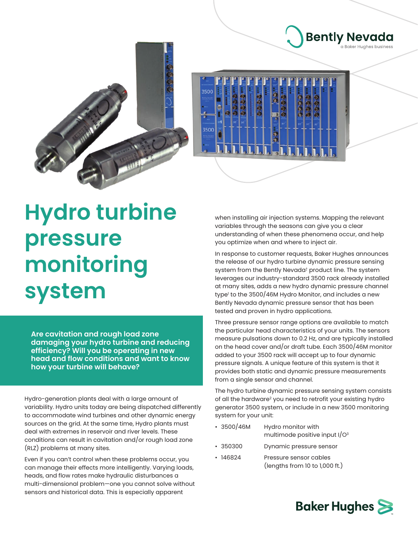



## **Hydro turbine pressure monitoring system**

**Are cavitation and rough load zone damaging your hydro turbine and reducing efficiency? Will you be operating in new head and flow conditions and want to know how your turbine will behave?**

Hydro-generation plants deal with a large amount of variability. Hydro units today are being dispatched differently to accommodate wind turbines and other dynamic energy sources on the grid. At the same time, Hydro plants must deal with extremes in reservoir and river levels. These conditions can result in cavitation and/or rough load zone (RLZ) problems at many sites.

Even if you can't control when these problems occur, you can manage their effects more intelligently. Varying loads, heads, and flow rates make hydraulic disturbances a multi-dimensional problem—one you cannot solve without sensors and historical data. This is especially apparent

when installing air injection systems. Mapping the relevant variables through the seasons can give you a clear understanding of when these phenomena occur, and help you optimize when and where to inject air.

**Bently Nevada** 

I Raker Huahes husiness

In response to customer requests, Baker Hughes announces the release of our hydro turbine dynamic pressure sensing system from the Bently Nevada† product line. The system leverages our industry-standard 3500 rack already installed at many sites, adds a new hydro dynamic pressure channel type' to the 3500/46M Hydro Monitor, and includes a new Bently Nevada dynamic pressure sensor that has been tested and proven in hydro applications.

Three pressure sensor range options are available to match the particular head characteristics of your units. The sensors measure pulsations down to 0.2 Hz, and are typically installed on the head cover and/or draft tube. Each 3500/46M monitor added to your 3500 rack will accept up to four dynamic pressure signals. A unique feature of this system is that it provides both static and dynamic pressure measurements from a single sensor and channel.

The hydro turbine dynamic pressure sensing system consists of all the hardware<sup>2</sup> you need to retrofit your existing hydro generator 3500 system, or include in a new 3500 monitoring system for your unit:

- 3500/46M Hydro monitor with multimode positive input I/ $O<sup>3</sup>$
- 350300 Dynamic pressure sensor
- 146824 Pressure sensor cables (lengths from 10 to 1,000 ft.)